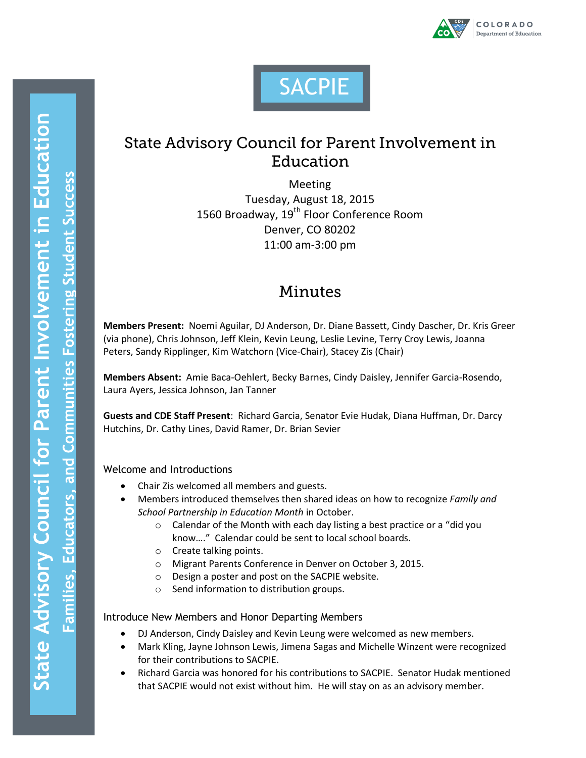



# **State Advisory Council for Parent Involvement in** Education

Meeting Tuesday, August 18, 2015 1560 Broadway, 19<sup>th</sup> Floor Conference Room Denver, CO 80202 11:00 am-3:00 pm

## Minutes

**Members Present:** Noemi Aguilar, DJ Anderson, Dr. Diane Bassett, Cindy Dascher, Dr. Kris Greer (via phone), Chris Johnson, Jeff Klein, Kevin Leung, Leslie Levine, Terry Croy Lewis, Joanna Peters, Sandy Ripplinger, Kim Watchorn (Vice-Chair), Stacey Zis (Chair)

**Members Absent:** Amie Baca-Oehlert, Becky Barnes, Cindy Daisley, Jennifer Garcia-Rosendo, Laura Ayers, Jessica Johnson, Jan Tanner

**Guests and CDE Staff Present**: Richard Garcia, Senator Evie Hudak, Diana Huffman, Dr. Darcy Hutchins, Dr. Cathy Lines, David Ramer, Dr. Brian Sevier

Welcome and Introductions

- Chair Zis welcomed all members and guests.
- Members introduced themselves then shared ideas on how to recognize *Family and School Partnership in Education Month* in October.
	- o Calendar of the Month with each day listing a best practice or a "did you know…." Calendar could be sent to local school boards.
	- o Create talking points.
	- o Migrant Parents Conference in Denver on October 3, 2015.
	- o Design a poster and post on the SACPIE website.
	- o Send information to distribution groups.

Introduce New Members and Honor Departing Members

- DJ Anderson, Cindy Daisley and Kevin Leung were welcomed as new members.
- Mark Kling, Jayne Johnson Lewis, Jimena Sagas and Michelle Winzent were recognized for their contributions to SACPIE.
- Richard Garcia was honored for his contributions to SACPIE. Senator Hudak mentioned that SACPIE would not exist without him. He will stay on as an advisory member.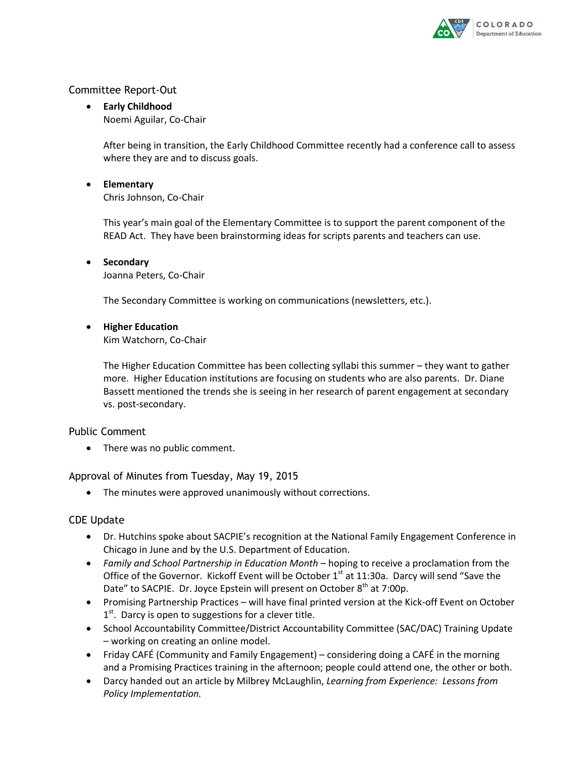

#### Committee Report-Out

 **Early Childhood** Noemi Aguilar, Co-Chair

> After being in transition, the Early Childhood Committee recently had a conference call to assess where they are and to discuss goals.

**Elementary**

Chris Johnson, Co-Chair

This year's main goal of the Elementary Committee is to support the parent component of the READ Act. They have been brainstorming ideas for scripts parents and teachers can use.

**•** Secondary Joanna Peters, Co-Chair

The Secondary Committee is working on communications (newsletters, etc.).

**Higher Education**

Kim Watchorn, Co-Chair

The Higher Education Committee has been collecting syllabi this summer – they want to gather more. Higher Education institutions are focusing on students who are also parents. Dr. Diane Bassett mentioned the trends she is seeing in her research of parent engagement at secondary vs. post-secondary.

#### Public Comment

There was no public comment.

#### Approval of Minutes from Tuesday, May 19, 2015

The minutes were approved unanimously without corrections.

#### CDE Update

- Dr. Hutchins spoke about SACPIE's recognition at the National Family Engagement Conference in Chicago in June and by the U.S. Department of Education.
- *Family and School Partnership in Education Month* hoping to receive a proclamation from the Office of the Governor. Kickoff Event will be October  $1<sup>st</sup>$  at 11:30a. Darcy will send "Save the Date" to SACPIE. Dr. Joyce Epstein will present on October  $8<sup>th</sup>$  at 7:00p.
- Promising Partnership Practices will have final printed version at the Kick-off Event on October 1<sup>st</sup>. Darcy is open to suggestions for a clever title.
- School Accountability Committee/District Accountability Committee (SAC/DAC) Training Update – working on creating an online model.
- Friday CAFÉ (Community and Family Engagement) considering doing a CAFÉ in the morning and a Promising Practices training in the afternoon; people could attend one, the other or both.
- Darcy handed out an article by Milbrey McLaughlin, *Learning from Experience: Lessons from Policy Implementation.*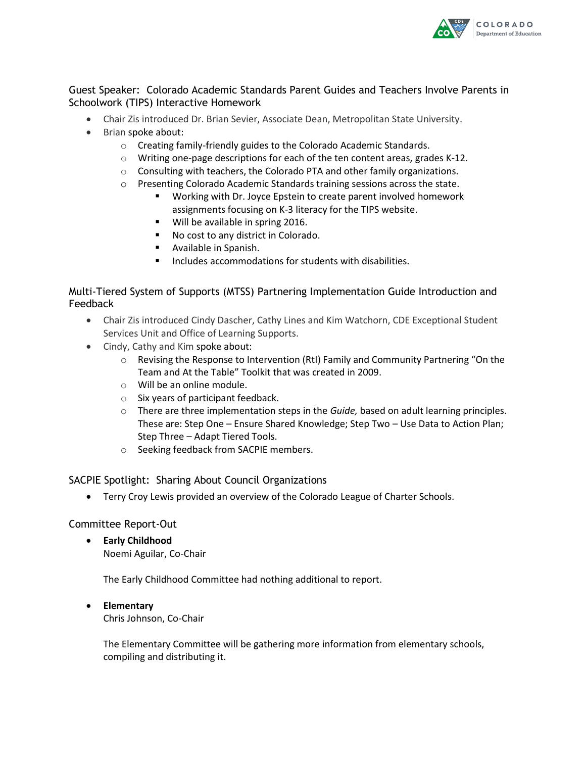

#### Guest Speaker: Colorado Academic Standards Parent Guides and Teachers Involve Parents in Schoolwork (TIPS) Interactive Homework

- Chair Zis introduced Dr. Brian Sevier, Associate Dean, Metropolitan State University.
- Brian spoke about:
	- o Creating family-friendly guides to the Colorado Academic Standards.
	- o Writing one-page descriptions for each of the ten content areas, grades K-12.
	- $\circ$  Consulting with teachers, the Colorado PTA and other family organizations.
	- o Presenting Colorado Academic Standards training sessions across the state.
		- Working with Dr. Joyce Epstein to create parent involved homework assignments focusing on K-3 literacy for the TIPS website.
		- **Will be available in spring 2016.**
		- No cost to any district in Colorado.
		- Available in Spanish.
		- Includes accommodations for students with disabilities.

#### Multi-Tiered System of Supports (MTSS) Partnering Implementation Guide Introduction and Feedback

- Chair Zis introduced Cindy Dascher, Cathy Lines and Kim Watchorn, CDE Exceptional Student Services Unit and Office of Learning Supports.
- Cindy, Cathy and Kim spoke about:
	- $\circ$  Revising the Response to Intervention (RtI) Family and Community Partnering "On the Team and At the Table" Toolkit that was created in 2009.
	- o Will be an online module.
	- o Six years of participant feedback.
	- o There are three implementation steps in the *Guide,* based on adult learning principles. These are: Step One – Ensure Shared Knowledge; Step Two – Use Data to Action Plan; Step Three – Adapt Tiered Tools.
	- o Seeking feedback from SACPIE members.

#### SACPIE Spotlight: Sharing About Council Organizations

Terry Croy Lewis provided an overview of the Colorado League of Charter Schools.

#### Committee Report-Out

 **Early Childhood** Noemi Aguilar, Co-Chair

The Early Childhood Committee had nothing additional to report.

**Elementary**

Chris Johnson, Co-Chair

The Elementary Committee will be gathering more information from elementary schools, compiling and distributing it.